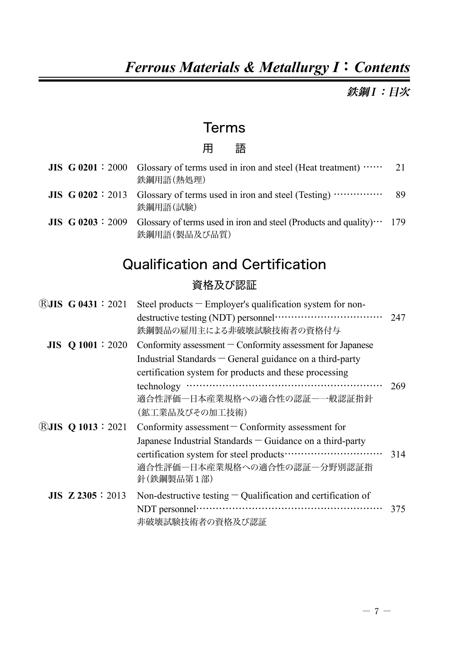# *Ferrous Materials & Metallurgy I*:*Contents*

鉄鋼I:目次

### Terms

#### 用 語

|  | <b>JIS</b> $G$ 0201 : 2000 Glossary of terms used in iron and steel (Heat treatment) $\cdots$ 21<br>鉄鋼用語(熱処理)           |    |
|--|-------------------------------------------------------------------------------------------------------------------------|----|
|  | <b>JIS</b> $\bf{G}$ 0202 : 2013 Glossary of terms used in iron and steel (Testing) $\cdots$<br>鉄鋼用語(試験)                 | 89 |
|  | <b>JIS</b> $G$ 0203 : 2009 Glossary of terms used in iron and steel (Products and quality) $\cdots$ 179<br>鉄鋼用語(製品及び品質) |    |

# Qualification and Certification

#### 資格及び認証

| (R) $JIS$ G 0431 : 2021    | Steel products $-$ Employer's qualification system for non-                       |     |
|----------------------------|-----------------------------------------------------------------------------------|-----|
|                            | 鉄鋼製品の雇用主による非破壊試験技術者の資格付与                                                          | 247 |
| JIS Q 1001 : 2020          | Conformity assessment $\sim$ Conformity assessment for Japanese                   |     |
|                            | Industrial Standards $-$ General guidance on a third-party                        |     |
|                            | certification system for products and these processing                            |     |
|                            | 適合性評価一日本産業規格への適合性の認証―一般認証指針<br>(鉱工業品及びその加工技術)                                     | 269 |
| <b>E</b> JIS Q 1013 : 2021 | Conformity assessment $\sim$ Conformity assessment for                            |     |
|                            | Japanese Industrial Standards – Guidance on a third-party                         |     |
|                            | 適合性評価―日本産業規格への適合性の認証―分野別認証指<br>針(鉄鋼製品第1部)                                         | 314 |
| <b>JIS Z 2305</b> : 2013   | Non-destructive testing $-$ Qualification and certification of<br>非破壊試験技術者の資格及び認証 | 375 |
|                            |                                                                                   |     |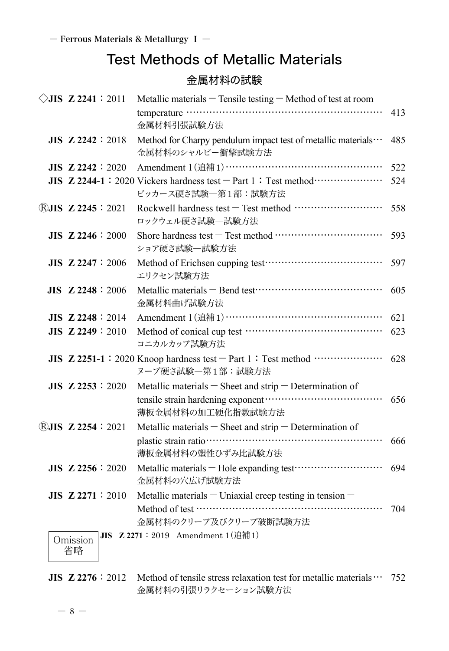# Test Methods of Metallic Materials

#### 金属材料の試験

| $\Diamond$ JIS Z 2241 : 2011            | Metallic materials $-$ Tensile testing $-$ Method of test at room                                                      |     |
|-----------------------------------------|------------------------------------------------------------------------------------------------------------------------|-----|
|                                         | 金属材料引張試験方法                                                                                                             | 413 |
| $JIS$ Z 2242 : 2018                     | Method for Charpy pendulum impact test of metallic materials<br>金属材料のシャルピー衝撃試験方法                                       | 485 |
| $JIS$ Z 2242 : 2020                     |                                                                                                                        | 522 |
|                                         | JIS Z 2244-1: 2020 Vickers hardness test - Part 1: Test method<br>ビッカース硬さ試験一第1部:試験方法                                   | 524 |
| $\overline{R}$ <b>JIS Z 2245</b> : 2021 | Rockwell hardness test - Test method ………………………<br>ロックウェル硬さ試験一試験方法                                                      | 558 |
| $JIS$ Z 2246 : 2000                     | ショア硬さ試験一試験方法                                                                                                           | 593 |
| <b>JIS Z 2247</b> : 2006                | エリクセン試験方法                                                                                                              | 597 |
| $JIS$ Z 2248 : 2006                     | 金属材料曲げ試験方法                                                                                                             | 605 |
| <b>JIS Z 2248 : 2014</b>                |                                                                                                                        | 621 |
| $JIS$ Z 2249 : 2010                     | コニカルカップ試験方法                                                                                                            | 623 |
|                                         | JIS Z 2251-1: 2020 Knoop hardness test - Part 1: Test method<br>ヌープ硬さ試験一第1部:試験方法                                       | 628 |
| $JIS$ Z 2253 : 2020                     | Metallic materials $-$ Sheet and strip $-$ Determination of<br>薄板金属材料の加工硬化指数試験方法                                       | 656 |
| <b>RJIS Z 2254 : 2021</b>               | Metallic materials $-$ Sheet and strip $-$ Determination of<br>薄板金属材料の塑性ひずみ比試験方法                                       | 666 |
| $JIS$ Z 2256 : 2020                     | 金属材料の穴広げ試験方法                                                                                                           | 694 |
| JIS Z 2271:2010<br>Omission<br>省略       | Metallic materials - Uniaxial creep testing in tension -<br>金属材料のクリープ及びクリープ破断試験方法<br>JIS Z 2271: 2019 Amendment 1(追補1) | 704 |

**JIS**  $\mathbb{Z}$  2276 : 2012 Method of tensile stress relaxation test for metallic materials  $\cdots$  752 金属材料の引張リラクセーション試験方法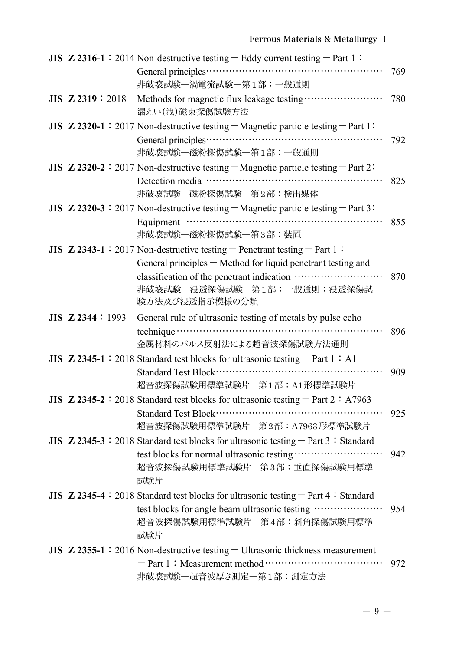|                        | JIS Z 2316-1 : 2014 Non-destructive testing $-$ Eddy current testing $-$ Part 1 :                                                                                        |     |
|------------------------|--------------------------------------------------------------------------------------------------------------------------------------------------------------------------|-----|
|                        | 非破壊試験一渦電流試験一第1部:一般通則                                                                                                                                                     | 769 |
| <b>JIS Z 2319:2018</b> | 漏えい(洩)磁束探傷試験方法                                                                                                                                                           | 780 |
|                        | JIS Z 2320-1 : 2017 Non-destructive testing $-Magnetic$ particle testing $-$ Part 1:                                                                                     |     |
|                        | 非破壊試験一磁粉探傷試験一第1部:一般通則                                                                                                                                                    | 792 |
|                        | JIS Z 2320-2 : 2017 Non-destructive testing $-Magnetic$ particle testing $-$ Part 2:                                                                                     |     |
|                        | 非破壊試験一磁粉探傷試験一第2部:検出媒体                                                                                                                                                    | 825 |
|                        | JIS $Z$ 2320-3 : 2017 Non-destructive testing $-Magnetic$ particle testing $-P$ art 3:                                                                                   |     |
|                        | 非破壊試験一磁粉探傷試験一第3部:装置                                                                                                                                                      | 855 |
|                        | JIS $Z$ 2343-1:2017 Non-destructive testing – Penetrant testing – Part 1:                                                                                                |     |
|                        | General principles - Method for liquid penetrant testing and<br>classification of the penetrant indication<br>非破壊試験一浸透探傷試験一第1部:一般通則:浸透探傷試<br>験方法及び浸透指示模様の分類              | 870 |
| $JIS$ Z 2344 : 1993    | General rule of ultrasonic testing of metals by pulse echo                                                                                                               |     |
|                        | 金属材料のパルス反射法による超音波探傷試験方法通則                                                                                                                                                | 896 |
|                        | JIS Z 2345-1: 2018 Standard test blocks for ultrasonic testing $-$ Part 1: A1                                                                                            |     |
|                        | 超音波探傷試験用標準試験片一第1部: A1形標準試験片                                                                                                                                              | 909 |
|                        | JIS Z 2345-2: 2018 Standard test blocks for ultrasonic testing - Part 2: A7963                                                                                           |     |
|                        | 超音波探傷試験用標準試験片一第2部: A7963形標準試験片                                                                                                                                           | 925 |
|                        | JIS Z 2345-3: 2018 Standard test blocks for ultrasonic testing - Part 3: Standard                                                                                        |     |
|                        | test blocks for normal ultrasonic testing<br>超音波探傷試験用標準試験片一第3部:垂直探傷試験用標準<br>試験片                                                                                          | 942 |
|                        | JIS Z 2345-4: 2018 Standard test blocks for ultrasonic testing - Part 4: Standard<br>test blocks for angle beam ultrasonic testing<br>超音波探傷試験用標準試験片一第4部:斜角探傷試験用標準<br>試験片 | 954 |
|                        | JIS $Z$ 2355-1:2016 Non-destructive testing $-$ Ultrasonic thickness measurement                                                                                         |     |
|                        | 非破壊試験一超音波厚さ測定一第1部:測定方法                                                                                                                                                   | 972 |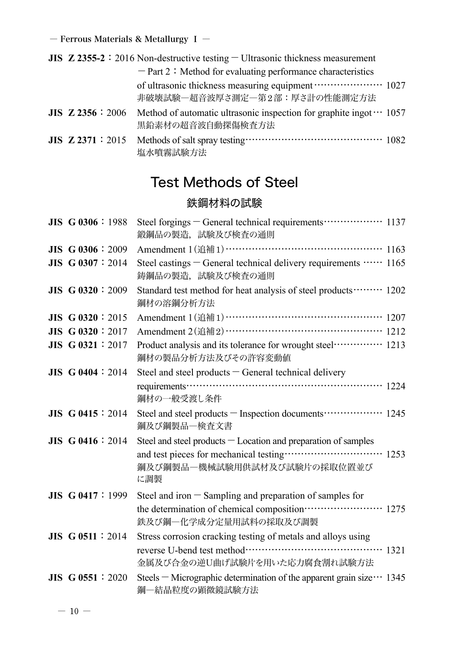|                     | <b>JIS</b> $\mathbb{Z}$ 2355-2 : 2016 Non-destructive testing $\overline{\phantom{a}}$ Ultrasonic thickness measurement |  |
|---------------------|-------------------------------------------------------------------------------------------------------------------------|--|
|                     | $-$ Part 2 : Method for evaluating performance characteristics                                                          |  |
|                     | of ultrasonic thickness measuring equipment ···················· 1027<br>非破壊試験一超音波厚さ測定一第2部:厚さ計の性能測定方法                   |  |
| $JIS$ Z 2356 : 2006 | Method of automatic ultrasonic inspection for graphite ingot $\cdots$ 1057<br>黒鉛素材の超音波自動探傷検査方法                          |  |
| $JIS$ Z 2371 : 2015 | 塩水噴霧試験方法                                                                                                                |  |

# Test Methods of Steel

#### 鉄鋼材料の試験

| JIS G 0306:1988          | Steel forgings – General technical requirements ················· 1137<br>鍛鋼品の製造、試験及び検査の通則                        |
|--------------------------|-------------------------------------------------------------------------------------------------------------------|
| $JIS$ G 0306 : 2009      | Amendment 1(追補1) ………………………………………… 1163                                                                            |
| <b>JIS G 0307:2014</b>   | Steel castings - General technical delivery requirements  1165<br>鋳鋼品の製造、試験及び検査の通則                                |
| JIS G 0320: 2009         | Standard test method for heat analysis of steel products ········ 1202<br>鋼材の溶鋼分析方法                               |
| JIS $G$ 0320 : 2015      | Amendment 1(追補1)……………………………………… 1207                                                                              |
| <b>JIS G 0320: 2017</b>  | Amendment 2(追補2) ……………………………………… 1212                                                                             |
| <b>JIS G 0321:2017</b>   | Product analysis and its tolerance for wrought steel…………… 1213<br>鋼材の製品分析方法及びその許容変動値                              |
| <b>JIS G 0404 : 2014</b> | Steel and steel products - General technical delivery                                                             |
|                          | 鋼材の一般受渡し条件                                                                                                        |
| <b>JIS G 0415 : 2014</b> | Steel and steel products - Inspection documents ················· 1245<br>鋼及び鋼製品一検査文書                             |
| <b>JIS G 0416 : 2014</b> | Steel and steel products $-$ Location and preparation of samples                                                  |
|                          | and test pieces for mechanical testing ······························· 1253<br>鋼及び鋼製品一機械試験用供試材及び試験片の採取位置並び<br>に調製 |
| <b>JIS G 0417 : 1999</b> | Steel and iron - Sampling and preparation of samples for                                                          |
|                          | the determination of chemical composition ························ 1275<br>鉄及び鋼一化学成分定量用試料の採取及び調製                  |
| JIS $G$ 0511 : 2014      | Stress corrosion cracking testing of metals and alloys using                                                      |
|                          | 金属及び合金の逆U曲げ試験片を用いた応力腐食割れ試験方法                                                                                      |
| <b>JIS G 0551 : 2020</b> | Steels – Micrographic determination of the apparent grain size $\cdots$ 1345<br>鋼一結晶粒度の顕微鏡試験方法                    |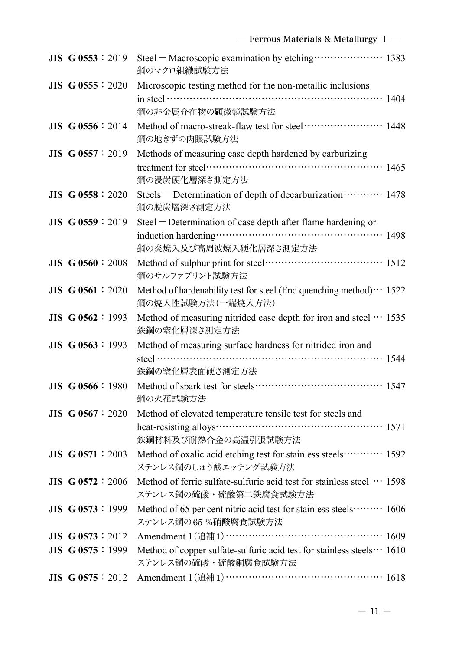| JIS G 0553:2019          | Steel - Macroscopic examination by etching ···················· 1383<br>鋼のマクロ組織試験方法              |
|--------------------------|--------------------------------------------------------------------------------------------------|
| $JIS$ G 0555 : 2020      | Microscopic testing method for the non-metallic inclusions                                       |
|                          | in steel $\cdots$ and $\cdots$ and $\cdots$ and $\cdots$ and $\cdots$ 1404                       |
|                          | 鋼の非金属介在物の顕微鏡試験方法                                                                                 |
| $JIS$ G 0556 : 2014      | 鋼の地きずの肉眼試験方法                                                                                     |
| JIS G 0557: 2019         | Methods of measuring case depth hardened by carburizing                                          |
|                          | 鋼の浸炭硬化層深さ測定方法                                                                                    |
| <b>JIS G 0558 : 2020</b> | Steels - Determination of depth of decarburization ··········· 1478<br>鋼の脱炭層深さ測定方法               |
| $JIS$ G 0559 : 2019      | Steel - Determination of case depth after flame hardening or                                     |
|                          |                                                                                                  |
|                          | 鋼の炎焼入及び高周波焼入硬化層深さ測定方法                                                                            |
| <b>JIS G 0560 : 2008</b> | 鋼のサルファプリント試験方法                                                                                   |
| $JIS$ G 0561 : 2020      | Method of hardenability test for steel (End quenching method) · · · 1522<br>鋼の焼入性試験方法(一端焼入方法)    |
| JIS G 0562 : 1993        | Method of measuring nitrided case depth for iron and steel  1535<br>鉄鋼の窒化層深さ測定方法                 |
| $JIS$ G 0563 : 1993      | Method of measuring surface hardness for nitrided iron and                                       |
|                          | steel $\cdots$ 1544                                                                              |
|                          | 鉄鋼の窒化層表面硬さ測定方法                                                                                   |
| <b>JIS G 0566</b> : 1980 | 鋼の火花試験方法                                                                                         |
| $JIS$ G 0567 : 2020      | Method of elevated temperature tensile test for steels and                                       |
|                          | heat-resisting alloys………………………………………………… 1571                                                    |
|                          | 鉄鋼材料及び耐熱合金の高温引張試験方法                                                                              |
| JIS G 0571:2003          | Method of oxalic acid etching test for stainless steels ··········· 1592<br>ステンレス鋼のしゅう酸エッチング試験方法 |
| $JIS$ G 0572 : 2006      | Method of ferric sulfate-sulfuric acid test for stainless steel  1598<br>ステンレス鋼の硫酸・硫酸第二鉄腐食試験方法   |
| JIS G 0573:1999          | Method of 65 per cent nitric acid test for stainless steels  1606<br>ステンレス鋼の65%硝酸腐食試験方法          |
| JIS G $0573 : 2012$      | Amendment 1(追補1) ……………………………………… 1609                                                            |
| JIS G 0575:1999          | Method of copper sulfate-sulfuric acid test for stainless steels ··· 1610                        |
|                          | ステンレス鋼の硫酸・硫酸銅腐食試験方法                                                                              |
| JIS G 0575:2012          | Amendment 1(追補1)……………………………………… 1618                                                             |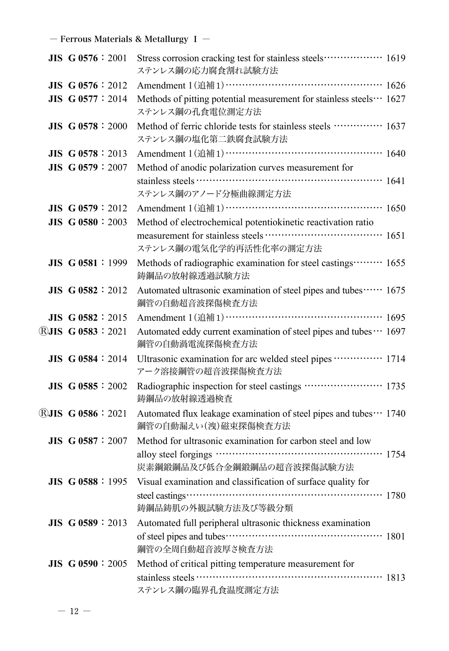| JIS G 0576:2001            | Stress corrosion cracking test for stainless steels ················· 1619<br>ステンレス鋼の応力腐食割れ試験方法 |
|----------------------------|-------------------------------------------------------------------------------------------------|
| <b>JIS G 0576</b> : $2012$ | Amendment 1(追補1) ……………………………………… 1626                                                           |
| <b>JIS G 0577 : 2014</b>   | Methods of pitting potential measurement for stainless steels… 1627<br>ステンレス鋼の孔食電位測定方法          |
| <b>JIS G 0578 : 2000</b>   | Method of ferric chloride tests for stainless steels  1637<br>ステンレス鋼の塩化第二鉄腐食試験方法                |
| $JIS$ G 0578 : 2013        | Amendment 1(追補1) ………………………………………… 1640                                                          |
| JIS G 0579: 2007           | Method of anodic polarization curves measurement for                                            |
|                            | ステンレス鋼のアノード分極曲線測定方法                                                                             |
| $JIS$ G 0579 : 2012        | Amendment 1(追補1)……………………………………… 1650                                                            |
| <b>JIS G 0580 : 2003</b>   | Method of electrochemical potentiokinetic reactivation ratio                                    |
|                            | ステンレス鋼の電気化学的再活性化率の測定方法                                                                          |
| JIS G 0581:1999            | Methods of radiographic examination for steel castings ········· 1655<br>鋳鋼品の放射線透過試験方法          |
| $JIS$ G 0582 : 2012        | Automated ultrasonic examination of steel pipes and tubes ······ 1675<br>鋼管の自動超音波探傷検査方法         |
| JIS G $0582 : 2015$        | Amendment 1(追補1) ……………………………………… 1695                                                           |
| <b>RJIS G 0583:2021</b>    | Automated eddy current examination of steel pipes and tubes ··· 1697<br>鋼管の自動渦電流探傷検査方法          |
| $JIS$ G 0584 : 2014        | Ultrasonic examination for arc welded steel pipes ·············· 1714<br>アーク溶接鋼管の超音波探傷検査方法      |
| $JIS$ G 0585 : 2002        | Radiographic inspection for steel castings  1735<br>鋳鋼品の放射線透過検査                                 |
| <b>RJIS G 0586: 2021</b>   | Automated flux leakage examination of steel pipes and tubes… 1740<br>鋼管の自動漏えい(洩)磁束探傷検査方法        |
| <b>JIS G 0587 : 2007</b>   | Method for ultrasonic examination for carbon steel and low                                      |
|                            | 炭素鋼鍛鋼品及び低合金鋼鍛鋼品の超音波探傷試験方法                                                                       |
| $JIS$ G 0588 : 1995        | Visual examination and classification of surface quality for                                    |
|                            | 鋳鋼品鋳肌の外観試験方法及び等級分類                                                                              |
| JIS G 0589:2013            | Automated full peripheral ultrasonic thickness examination                                      |
|                            |                                                                                                 |
|                            | 鋼管の全周自動超音波厚さ検査方法                                                                                |
| <b>JIS G 0590 : 2005</b>   | Method of critical pitting temperature measurement for                                          |
|                            |                                                                                                 |
|                            | ステンレス鋼の臨界孔食温度測定方法                                                                               |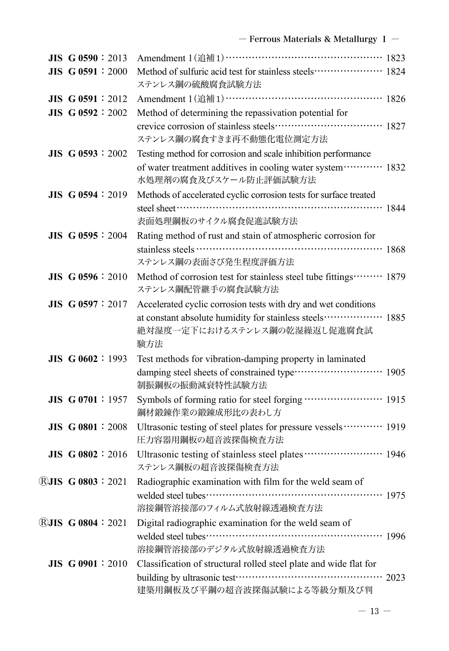| $JIS$ G 0590 : 2013        | Amendment 1(追補1)………………………………………… 1823                                                                            |
|----------------------------|------------------------------------------------------------------------------------------------------------------|
| <b>JIS G 0591:2000</b>     | Method of sulfuric acid test for stainless steels ··················· 1824<br>ステンレス鋼の硫酸腐食試験方法                    |
| <b>JIS G 0591</b> : $2012$ | Amendment 1(追補1)……………………………………… 1826                                                                             |
| $JIS$ G 0592 : 2002        | Method of determining the repassivation potential for                                                            |
|                            | ステンレス鋼の腐食すきま再不動態化電位測定方法                                                                                          |
| $JIS$ G 0593 : 2002        | Testing method for corrosion and scale inhibition performance                                                    |
|                            | of water treatment additives in cooling water system………… 1832<br>水処理剤の腐食及びスケール防止評価試験方法                           |
| $JIS$ G 0594 : 2019        | Methods of accelerated cyclic corrosion tests for surface treated                                                |
|                            |                                                                                                                  |
|                            | 表面処理鋼板のサイクル腐食促進試験方法                                                                                              |
| $JIS$ G 0595 : 2004        | Rating method of rust and stain of atmospheric corrosion for                                                     |
|                            |                                                                                                                  |
|                            | ステンレス鋼の表面さび発生程度評価方法                                                                                              |
| $JIS$ G 0596 : 2010        | Method of corrosion test for stainless steel tube fittings ········· 1879<br>ステンレス鋼配管継手の腐食試験方法                   |
| JIS G 0597: 2017           | Accelerated cyclic corrosion tests with dry and wet conditions                                                   |
|                            | at constant absolute humidity for stainless steels ················· 1885<br>絶対湿度一定下におけるステンレス鋼の乾湿繰返し促進腐食試<br>験方法 |
| JIS G 0602:1993            | Test methods for vibration-damping property in laminated                                                         |
|                            | damping steel sheets of constrained type ·························· 1905<br>制振鋼板の振動減衰特性試験方法                      |
| <b>JIS G 0701:1957</b>     | Symbols of forming ratio for steel forging ······················ 1915<br>鋼材鍛錬作業の鍛錬成形比の表わし方                      |
| $JIS$ G 0801 : 2008        | Ultrasonic testing of steel plates for pressure vessels  1919<br>圧力容器用鋼板の超音波探傷検査方法                               |
| <b>JIS G 0802 : 2016</b>   | Ultrasonic testing of stainless steel plates ························ 1946<br>ステンレス鋼板の超音波探傷検査方法                  |
| <b>RJIS G 0803:2021</b>    | Radiographic examination with film for the weld seam of                                                          |
|                            | 溶接鋼管溶接部のフィルム式放射線透過検査方法                                                                                           |
| <b>RJIS G 0804: 2021</b>   | Digital radiographic examination for the weld seam of                                                            |
|                            |                                                                                                                  |
|                            | 溶接鋼管溶接部のデジタル式放射線透過検査方法                                                                                           |
| <b>JIS G 0901 : 2010</b>   | Classification of structural rolled steel plate and wide flat for                                                |
|                            | 建築用鋼板及び平鋼の超音波探傷試験による等級分類及び判                                                                                      |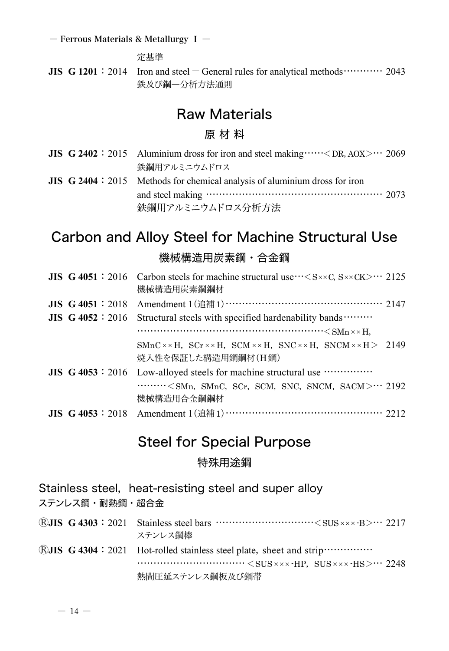定基準

**JIS G 1201**: 2014 Iron and steel  $-$  General rules for analytical methods………… 2043 鉄及び鋼―分析方法通則

### Raw Materials

#### 原 材 料

|  | <b>JIS</b> $G$ 2402 : 2015 Aluminium dross for iron and steel making $\cdots \le$ DR, AOX $> \cdots$ 2069 |  |
|--|-----------------------------------------------------------------------------------------------------------|--|
|  | 鉄鋼用アルミニウムドロス                                                                                              |  |
|  | <b>JIS</b> G 2404 : 2015 Methods for chemical analysis of aluminium dross for iron                        |  |
|  |                                                                                                           |  |
|  | 鉄鋼用アルミニウムドロス分析方法                                                                                          |  |

### Carbon and Alloy Steel for Machine Structural Use 機械構造用炭素鋼・合金鋼

|                     | <b>JIS</b> G 4051 : 2016 Carbon steels for machine structural use $\cdot\cdot\cdot\leq S\times\cdot\cdot\leq C$ S $\times\cdot\cdot\leq C$ 2125<br>機械構造用炭素鋼鋼材                                                                                                                                                                                |  |
|---------------------|----------------------------------------------------------------------------------------------------------------------------------------------------------------------------------------------------------------------------------------------------------------------------------------------------------------------------------------------|--|
| $JIS$ G 4051 : 2018 | Amendment 1 (追補 1) …………………………………………… 2147                                                                                                                                                                                                                                                                                                    |  |
|                     | <b>JIS</b> $G$ 4052 : 2016 Structural steels with specified hardenability bands $\cdots$                                                                                                                                                                                                                                                     |  |
|                     | $\cdots$ $\cdots$ $\cdots$ $\cdots$ $\cdots$ $\cdots$ $\cdots$ $\cdots$ $\cdots$ $\cdots$ $\cdots$ $\cdots$ $\cdots$ $\cdots$ $\cdots$ $\cdots$ $\cdots$ $\cdots$ $\cdots$ $\cdots$ $\cdots$ $\cdots$ $\cdots$ $\cdots$ $\cdots$ $\cdots$ $\cdots$ $\cdots$ $\cdots$ $\cdots$ $\cdots$ $\cdots$ $\cdots$ $\cdots$ $\cdots$ $\cdots$ $\cdots$ |  |
|                     | $SMnC \times \times H$ , $SCr \times \times H$ , $SCM \times \times H$ , $SNC \times \times H$ , $SNCM \times \times H$ 2149<br>焼入性を保証した構造用鋼鋼材(H鋼)                                                                                                                                                                                           |  |
|                     | JIS G 4053 : 2016 Low-alloyed steels for machine structural use                                                                                                                                                                                                                                                                              |  |
|                     | $\cdots \cdots \cdots \leq$ SMn, SMnC, SCr, SCM, SNC, SNCM, SACM $> \cdots$ 2192<br>機械構造用合金鋼鋼材                                                                                                                                                                                                                                               |  |
|                     | JIS G 4053: 2018 Amendment 1 (追補1) ……………………………………………… 2212                                                                                                                                                                                                                                                                                   |  |

### Steel for Special Purpose

#### 特殊用途鋼

| Stainless steel, heat-resisting steel and super alloy |                                                                                                                                                                                                                                                                                                                                      |  |
|-------------------------------------------------------|--------------------------------------------------------------------------------------------------------------------------------------------------------------------------------------------------------------------------------------------------------------------------------------------------------------------------------------|--|
| ステンレス鋼・耐熱鋼・超合金                                        |                                                                                                                                                                                                                                                                                                                                      |  |
|                                                       | $\widehat{R}$ JIS G 4303 : 2021 Stainless steel bars $\cdots$ $\cdots$ $\cdots$ $\cdots$ $\cdots$ $\cdots$ $\cdots$ $\cdots$ $\cdots$ $\cdots$ $\cdots$ $\cdots$ $\cdots$ $\cdots$ $\cdots$ $\cdots$ $\cdots$ $\cdots$ $\cdots$ $\cdots$ $\cdots$ $\cdots$ $\cdots$ $\cdots$ $\cdots$ $\cdots$ $\cdots$ $\cdots$ $\cdots$<br>ステンレス綱棒 |  |
|                                                       | $\bigcirc$ UIS G 4304 : 2021 Hot-rolled stainless steel plate, sheet and strip $\cdots$<br>熱間圧延ステンレス鋼板及び鋼帯                                                                                                                                                                                                                           |  |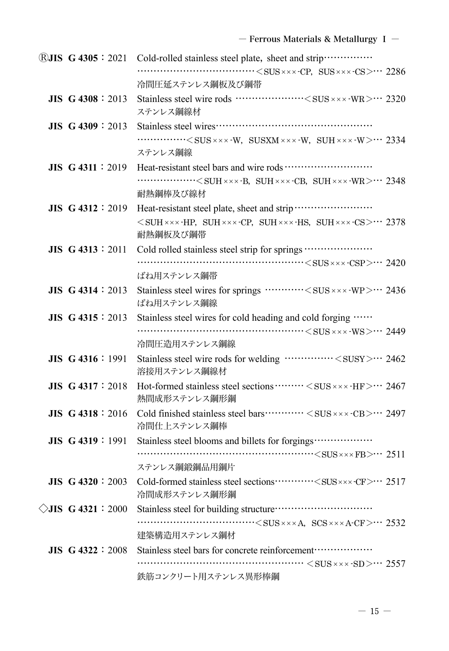|                              | ®JIS G 4305: 2021 Cold-rolled stainless steel plate, sheet and strip ················                                                                                                                                                                                                                                                        |
|------------------------------|----------------------------------------------------------------------------------------------------------------------------------------------------------------------------------------------------------------------------------------------------------------------------------------------------------------------------------------------|
|                              | $\dots \dots \dots \dots \dots \dots \dots \dots \dots \dots \in SUB \times x \times \text{CP}, \text{SUS} \times x \times \text{CS} > \dots \text{2286}$                                                                                                                                                                                    |
|                              | 冷間圧延ステンレス鋼板及び鋼帯                                                                                                                                                                                                                                                                                                                              |
| <b>JIS G 4308 : 2013</b>     | Stainless steel wire rods ……………… <sus -wr="" ×=""> ··· 2320<br/>ステンレス鋼線材</sus>                                                                                                                                                                                                                                                               |
| $JIS$ G 4309 : 2013          |                                                                                                                                                                                                                                                                                                                                              |
|                              | $\cdots$ $\cdots$ $\cdots$ $\cdots$ $\cdots$ $\cdots$ $\cdots$ $\cdots$ $\cdots$ $\cdots$ $\cdots$ $\cdots$ $\cdots$ $\cdots$ $\cdots$ $\cdots$ $\cdots$ $\cdots$ $\cdots$ $\cdots$ $\cdots$ $\cdots$ $\cdots$ $\cdots$ $\cdots$ $\cdots$ $\cdots$ $\cdots$ $\cdots$ $\cdots$ $\cdots$ $\cdots$ $\cdots$ $\cdots$ $\cdots$ $\cdots$ $\cdots$ |
|                              | ステンレス鋼線                                                                                                                                                                                                                                                                                                                                      |
| <b>JIS G 4311:2019</b>       |                                                                                                                                                                                                                                                                                                                                              |
|                              | $\cdots$ < SUH xxx -B, SUH xxx -CB, SUH xxx -WR > $\cdots$ 2348                                                                                                                                                                                                                                                                              |
|                              | 耐熱鋼棒及び線材                                                                                                                                                                                                                                                                                                                                     |
| JIS G 4312:2019              | Heat-resistant steel plate, sheet and strip                                                                                                                                                                                                                                                                                                  |
|                              | $<$ SUH $\times \times$ -HP, SUH $\times \times \times$ -CP, SUH $\times \times \times$ -HS, SUH $\times \times \times \cdot$ CS $> \cdots$ 2378<br>耐熱鋼板及び鋼帯                                                                                                                                                                                 |
| JIS G 4313:2011              | Cold rolled stainless steel strip for springs                                                                                                                                                                                                                                                                                                |
|                              |                                                                                                                                                                                                                                                                                                                                              |
|                              | ばね用ステンレス鋼帯                                                                                                                                                                                                                                                                                                                                   |
| $JIS$ G 4314 : 2013          | Stainless steel wires for springs ………… <sus wp="" ·="" ×=""> … 2436</sus>                                                                                                                                                                                                                                                                    |
|                              | ばね用ステンレス鋼線                                                                                                                                                                                                                                                                                                                                   |
| <b>JIS G 4315</b> : 2013     | Stainless steel wires for cold heading and cold forging                                                                                                                                                                                                                                                                                      |
|                              |                                                                                                                                                                                                                                                                                                                                              |
|                              | 冷間圧造用ステンレス鋼線                                                                                                                                                                                                                                                                                                                                 |
| JIS G 4316:1991              | Stainless steel wire rods for welding < SUSY> 2462<br>溶接用ステンレス鋼線材                                                                                                                                                                                                                                                                            |
| $JIS$ G 4317 : 2018          | Hot-formed stainless steel sections ········· < SUS × × × -HF > ··· 2467<br>熱間成形ステンレス鋼形鋼                                                                                                                                                                                                                                                     |
| <b>JIS G 4318</b> : 2016     | Cold finished stainless steel bars ············· < SUS × × × -CB > ··· 2497<br>冷間仕上ステンレス鋼棒                                                                                                                                                                                                                                                   |
| <b>JIS G 4319: 1991</b>      | Stainless steel blooms and billets for forgings                                                                                                                                                                                                                                                                                              |
|                              |                                                                                                                                                                                                                                                                                                                                              |
|                              | ステンレス鋼鍛鋼品用鋼片                                                                                                                                                                                                                                                                                                                                 |
| <b>JIS G 4320: 2003</b>      | Cold-formed stainless steel sections ············< SUS xxx -CF> ··· 2517<br>冷間成形ステンレス鋼形鋼                                                                                                                                                                                                                                                     |
| $\Diamond$ JIS G 4321 : 2000 |                                                                                                                                                                                                                                                                                                                                              |
|                              | $\cdots$ $\cdots$ $\cdots$ $\cdots$ $\cdots$ $\cdots$ $\cdots$ $\cdots$ $\cdots$ $\cdots$ $\cdots$ $\cdots$ $\cdots$ $\cdots$ $\cdots$ $\cdots$ $\cdots$ $\cdots$ $\cdots$ $\cdots$ $\cdots$ $\cdots$ $\cdots$ $\cdots$ $\cdots$ $\cdots$ $\cdots$ $\cdots$ $\cdots$ $\cdots$ $\cdots$ $\cdots$ $\cdots$ $\cdots$ $\cdots$ $\cdots$ $\cdots$ |
|                              | 建築構造用ステンレス鋼材                                                                                                                                                                                                                                                                                                                                 |
| <b>JIS G 4322 : 2008</b>     | Stainless steel bars for concrete reinforcement ···················                                                                                                                                                                                                                                                                          |
|                              | $\cdots$ $\cdots$ $\cdots$ $\cdots$ $\cdots$ $\cdots$ $\cdots$ $\cdots$ $\cdots$ $\cdots$ $\cdots$ $\cdots$ $\cdots$ 2557                                                                                                                                                                                                                    |
|                              | 鉄筋コンクリート用ステンレス異形棒鋼                                                                                                                                                                                                                                                                                                                           |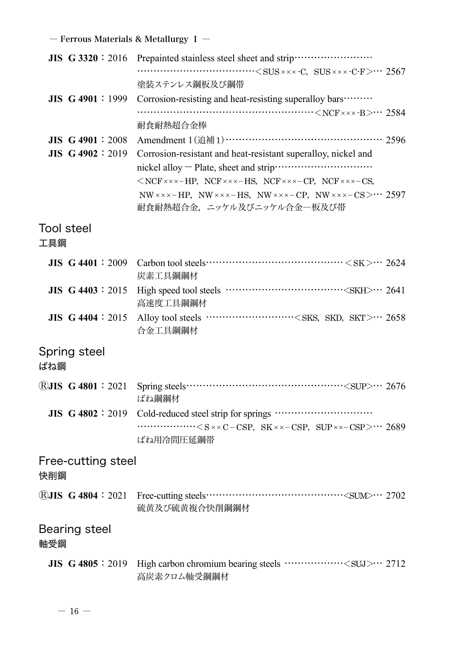|                           | $\cdots$ $\cdots$ $\cdots$ $\cdots$ $\cdots$ $\cdots$ $\cdots$ $\cdots$ $\cdots$ $\cdots$ $\cdots$ $\cdots$ $\cdots$ $\cdots$ $\cdots$ $\cdots$ $\cdots$ $\cdots$ $\cdots$ $\cdots$ $\cdots$ $\cdots$ $\cdots$ $\cdots$ $\cdots$ $\cdots$ $\cdots$ $\cdots$ $\cdots$ $\cdots$ $\cdots$ $\cdots$ $\cdots$ $\cdots$ $\cdots$ $\cdots$ $\cdots$ |
|---------------------------|----------------------------------------------------------------------------------------------------------------------------------------------------------------------------------------------------------------------------------------------------------------------------------------------------------------------------------------------|
|                           | 塗装ステンレス鋼板及び鋼帯                                                                                                                                                                                                                                                                                                                                |
| $JIS$ G 4901 : 1999       | Corrosion-resisting and heat-resisting superalloy bars                                                                                                                                                                                                                                                                                       |
|                           |                                                                                                                                                                                                                                                                                                                                              |
|                           | 耐食耐熱超合金棒                                                                                                                                                                                                                                                                                                                                     |
| <b>JIS G 4901 : 2008</b>  | Amendment 1(追補1) ……………………………………… 2596                                                                                                                                                                                                                                                                                                        |
| $JIS$ G 4902 : 2019       | Corrosion-resistant and heat-resistant superalloy, nickel and                                                                                                                                                                                                                                                                                |
|                           |                                                                                                                                                                                                                                                                                                                                              |
|                           | $\langle$ NCF $\times \times \times$ - HP, NCF $\times \times \times$ - HS, NCF $\times \times \times$ - CP, NCF $\times \times \times$ - CS,                                                                                                                                                                                                |
|                           | $NW \times x \times - HP$ , $NW \times x \times -HS$ , $NW \times x \times -CP$ , $NW \times x \times -CS \geq \cdots$ 2597                                                                                                                                                                                                                  |
|                           | 耐食耐熱超合金、ニッケル及びニッケル合金一板及び帯                                                                                                                                                                                                                                                                                                                    |
| <b>Tool steel</b>         |                                                                                                                                                                                                                                                                                                                                              |
| 工具鋼                       |                                                                                                                                                                                                                                                                                                                                              |
|                           |                                                                                                                                                                                                                                                                                                                                              |
| $JIS$ G 4401 : 2009       | Carbon tool steels $\cdots$ $\cdots$ $\cdots$ $\cdots$ $\cdots$ $\cdots$ $\cdots$ $\cdots$ $\cdots$ $\cdots$ 2624<br>炭素工具鋼鋼材                                                                                                                                                                                                                 |
| $JIS$ G 4403 : 2015       |                                                                                                                                                                                                                                                                                                                                              |
|                           | 高速度工具鋼鋼材                                                                                                                                                                                                                                                                                                                                     |
| <b>JIS G 4404</b> : 2015  | Alloy tool steels <sks, skd,="" skt=""> 2658<br/>合金工具鋼鋼材</sks,>                                                                                                                                                                                                                                                                              |
| Spring steel              |                                                                                                                                                                                                                                                                                                                                              |
| ばね鋼                       |                                                                                                                                                                                                                                                                                                                                              |
|                           |                                                                                                                                                                                                                                                                                                                                              |
| <b>RJIS G 4801 : 2021</b> | ばね鋼鋼材                                                                                                                                                                                                                                                                                                                                        |
| JIS G 4802 : 2019         |                                                                                                                                                                                                                                                                                                                                              |
|                           | $\cdots$ $\cdots$ $\cdots$ $\cdots$ $\cdots$ $\cdots$ $\cdots$ $\cdots$ $\cdots$ $\cdots$ $\cdots$ $\cdots$ $\cdots$ $\cdots$ $\cdots$ $\cdots$ $\cdots$ $\cdots$ $\cdots$ $\cdots$ $\cdots$ $\cdots$ $\cdots$ $\cdots$ $\cdots$ $\cdots$ $\cdots$ $\cdots$ $\cdots$ $\cdots$ $\cdots$ $\cdots$ $\cdots$ $\cdots$ $\cdots$ $\cdots$ $\cdots$ |
|                           | ばね用冷間圧延鋼帯                                                                                                                                                                                                                                                                                                                                    |
| Free-cutting steel<br>快削鋼 |                                                                                                                                                                                                                                                                                                                                              |
|                           |                                                                                                                                                                                                                                                                                                                                              |
| <b>RJIS G 4804 : 2021</b> | 硫黄及び硫黄複合快削鋼鋼材                                                                                                                                                                                                                                                                                                                                |
| Bearing steel<br>軸受鋼      |                                                                                                                                                                                                                                                                                                                                              |
| <b>JIS G 4805</b> : 2019  | High carbon chromium bearing steels ················· <suj>··· 2712<br/>高炭素クロム軸受鋼鋼材</suj>                                                                                                                                                                                                                                                    |
|                           |                                                                                                                                                                                                                                                                                                                                              |